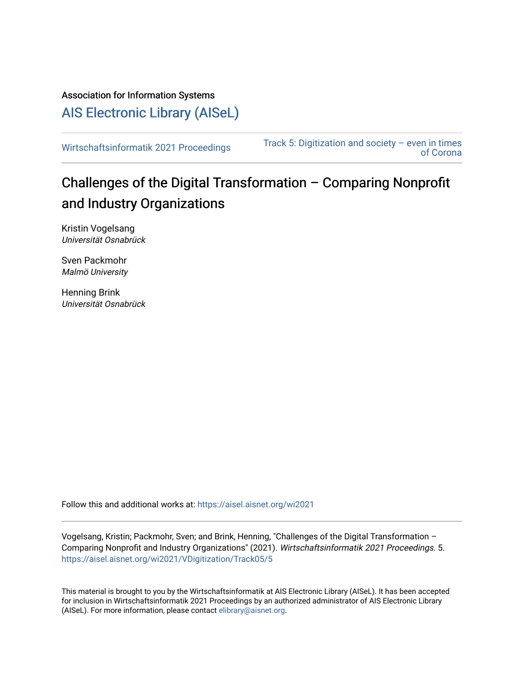Association for Information Systems

[AIS Electronic Library \(AISeL\)](https://aisel.aisnet.org/)

[Wirtschaftsinformatik 2021 Proceedings](https://aisel.aisnet.org/wi2021) Track 5: Digitization and society – even in times [of Corona](https://aisel.aisnet.org/wi2021/VDigitization) 

# Challenges of the Digital Transformation – Comparing Nonprofit and Industry Organizations

Kristin Vogelsang Universität Osnabrück

Sven Packmohr Malmö University

Henning Brink Universität Osnabrück

Follow this and additional works at: [https://aisel.aisnet.org/wi2021](https://aisel.aisnet.org/wi2021?utm_source=aisel.aisnet.org%2Fwi2021%2FVDigitization%2FTrack05%2F5&utm_medium=PDF&utm_campaign=PDFCoverPages) 

Vogelsang, Kristin; Packmohr, Sven; and Brink, Henning, "Challenges of the Digital Transformation – Comparing Nonprofit and Industry Organizations" (2021). Wirtschaftsinformatik 2021 Proceedings. 5. [https://aisel.aisnet.org/wi2021/VDigitization/Track05/5](https://aisel.aisnet.org/wi2021/VDigitization/Track05/5?utm_source=aisel.aisnet.org%2Fwi2021%2FVDigitization%2FTrack05%2F5&utm_medium=PDF&utm_campaign=PDFCoverPages) 

This material is brought to you by the Wirtschaftsinformatik at AIS Electronic Library (AISeL). It has been accepted for inclusion in Wirtschaftsinformatik 2021 Proceedings by an authorized administrator of AIS Electronic Library (AISeL). For more information, please contact [elibrary@aisnet.org](mailto:elibrary@aisnet.org%3E).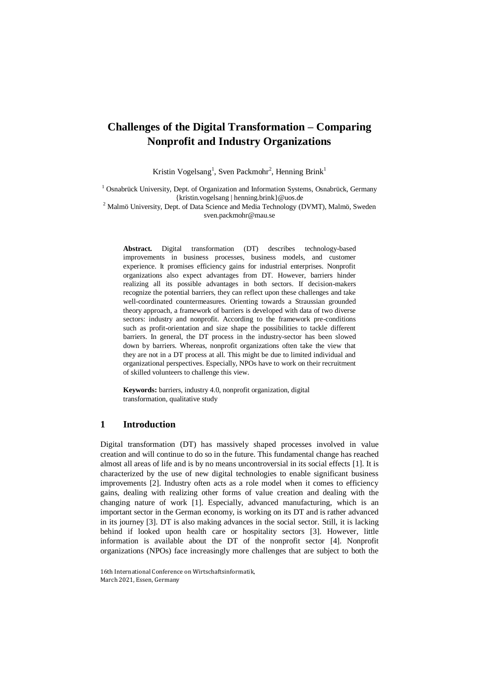## **Challenges of the Digital Transformation – Comparing Nonprofit and Industry Organizations**

Kristin Vogelsang<sup>1</sup>, Sven Packmohr<sup>2</sup>, Henning Brink<sup>1</sup>

<sup>1</sup> Osnabrück University, Dept. of Organization and Information Systems, Osnabrück, Germany {kristin.vogelsang | henning.brink}@uos.de

<sup>2</sup> Malmö University, Dept. of Data Science and Media Technology (DVMT), Malmö, Sweden sven.packmohr@mau.se

**Abstract.** Digital transformation (DT) describes technology-based improvements in business processes, business models, and customer experience. It promises efficiency gains for industrial enterprises. Nonprofit organizations also expect advantages from DT. However, barriers hinder realizing all its possible advantages in both sectors. If decision-makers recognize the potential barriers, they can reflect upon these challenges and take well-coordinated countermeasures. Orienting towards a Straussian grounded theory approach, a framework of barriers is developed with data of two diverse sectors: industry and nonprofit. According to the framework pre-conditions such as profit-orientation and size shape the possibilities to tackle different barriers. In general, the DT process in the industry-sector has been slowed down by barriers. Whereas, nonprofit organizations often take the view that they are not in a DT process at all. This might be due to limited individual and organizational perspectives. Especially, NPOs have to work on their recruitment of skilled volunteers to challenge this view.

**Keywords:** barriers, industry 4.0, nonprofit organization, digital transformation, qualitative study

### **1 Introduction**

Digital transformation (DT) has massively shaped processes involved in value creation and will continue to do so in the future. This fundamental change has reached almost all areas of life and is by no means uncontroversial in its social effects [1]. It is characterized by the use of new digital technologies to enable significant business improvements [2]. Industry often acts as a role model when it comes to efficiency gains, dealing with realizing other forms of value creation and dealing with the changing nature of work [1]. Especially, advanced manufacturing, which is an important sector in the German economy, is working on its DT and is rather advanced in its journey [3]. DT is also making advances in the social sector. Still, it is lacking behind if looked upon health care or hospitality sectors [3]. However, little information is available about the DT of the nonprofit sector [4]. Nonprofit organizations (NPOs) face increasingly more challenges that are subject to both the

<sup>16</sup>th International Conference on Wirtschaftsinformatik, March 2021, Essen, Germany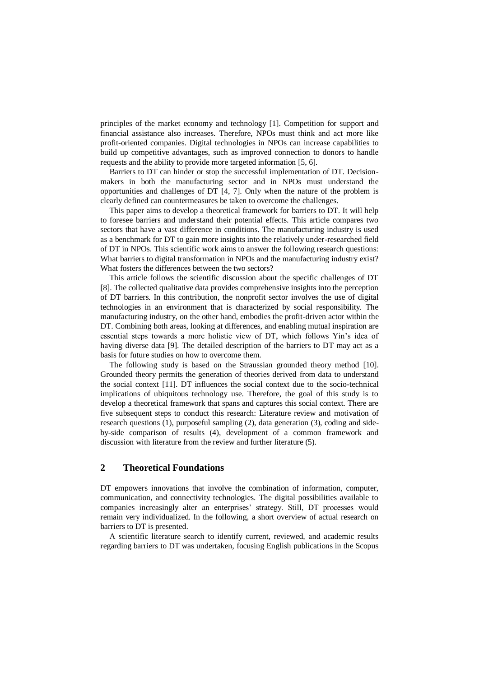principles of the market economy and technology [1]. Competition for support and financial assistance also increases. Therefore, NPOs must think and act more like profit-oriented companies. Digital technologies in NPOs can increase capabilities to build up competitive advantages, such as improved connection to donors to handle requests and the ability to provide more targeted information [5, 6].

Barriers to DT can hinder or stop the successful implementation of DT. Decisionmakers in both the manufacturing sector and in NPOs must understand the opportunities and challenges of DT [4, 7]. Only when the nature of the problem is clearly defined can countermeasures be taken to overcome the challenges.

This paper aims to develop a theoretical framework for barriers to DT. It will help to foresee barriers and understand their potential effects. This article compares two sectors that have a vast difference in conditions. The manufacturing industry is used as a benchmark for DT to gain more insights into the relatively under-researched field of DT in NPOs. This scientific work aims to answer the following research questions: What barriers to digital transformation in NPOs and the manufacturing industry exist? What fosters the differences between the two sectors?

This article follows the scientific discussion about the specific challenges of DT [8]. The collected qualitative data provides comprehensive insights into the perception of DT barriers. In this contribution, the nonprofit sector involves the use of digital technologies in an environment that is characterized by social responsibility. The manufacturing industry, on the other hand, embodies the profit-driven actor within the DT. Combining both areas, looking at differences, and enabling mutual inspiration are essential steps towards a more holistic view of DT, which follows Yin's idea of having diverse data [9]. The detailed description of the barriers to DT may act as a basis for future studies on how to overcome them.

The following study is based on the Straussian grounded theory method [10]. Grounded theory permits the generation of theories derived from data to understand the social context [11]. DT influences the social context due to the socio-technical implications of ubiquitous technology use. Therefore, the goal of this study is to develop a theoretical framework that spans and captures this social context. There are five subsequent steps to conduct this research: Literature review and motivation of research questions (1), purposeful sampling (2), data generation (3), coding and sideby-side comparison of results (4), development of a common framework and discussion with literature from the review and further literature (5).

## **2 Theoretical Foundations**

DT empowers innovations that involve the combination of information, computer, communication, and connectivity technologies. The digital possibilities available to companies increasingly alter an enterprises' strategy. Still, DT processes would remain very individualized. In the following, a short overview of actual research on barriers to DT is presented.

A scientific literature search to identify current, reviewed, and academic results regarding barriers to DT was undertaken, focusing English publications in the Scopus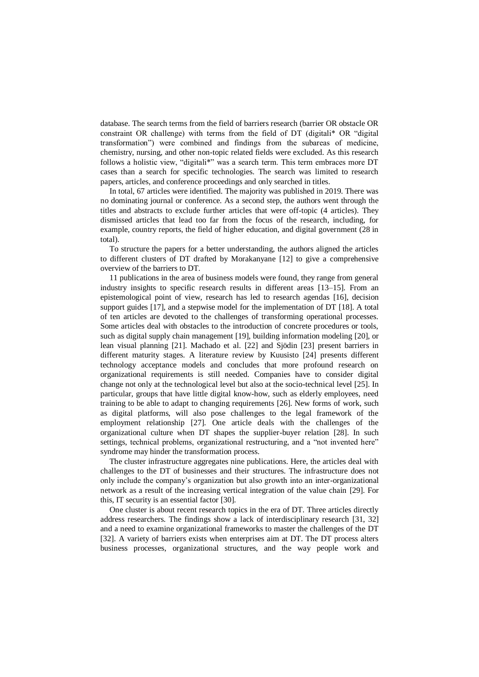database. The search terms from the field of barriers research (barrier OR obstacle OR constraint OR challenge) with terms from the field of DT (digitali\* OR "digital transformation") were combined and findings from the subareas of medicine, chemistry, nursing, and other non-topic related fields were excluded. As this research follows a holistic view, "digitali\*" was a search term. This term embraces more DT cases than a search for specific technologies. The search was limited to research papers, articles, and conference proceedings and only searched in titles.

In total, 67 articles were identified. The majority was published in 2019. There was no dominating journal or conference. As a second step, the authors went through the titles and abstracts to exclude further articles that were off-topic (4 articles). They dismissed articles that lead too far from the focus of the research, including, for example, country reports, the field of higher education, and digital government (28 in total).

To structure the papers for a better understanding, the authors aligned the articles to different clusters of DT drafted by Morakanyane [12] to give a comprehensive overview of the barriers to DT.

11 publications in the area of business models were found, they range from general industry insights to specific research results in different areas [13–15]. From an epistemological point of view, research has led to research agendas [16], decision support guides [17], and a stepwise model for the implementation of DT [18]. A total of ten articles are devoted to the challenges of transforming operational processes. Some articles deal with obstacles to the introduction of concrete procedures or tools, such as digital supply chain management [19], building information modeling [20], or lean visual planning [21]. Machado et al. [22] and Sjödin [23] present barriers in different maturity stages. A literature review by Kuusisto [24] presents different technology acceptance models and concludes that more profound research on organizational requirements is still needed. Companies have to consider digital change not only at the technological level but also at the socio-technical level [25]. In particular, groups that have little digital know-how, such as elderly employees, need training to be able to adapt to changing requirements [26]. New forms of work, such as digital platforms, will also pose challenges to the legal framework of the employment relationship [27]. One article deals with the challenges of the organizational culture when DT shapes the supplier-buyer relation [28]. In such settings, technical problems, organizational restructuring, and a "not invented here" syndrome may hinder the transformation process.

The cluster infrastructure aggregates nine publications. Here, the articles deal with challenges to the DT of businesses and their structures. The infrastructure does not only include the company's organization but also growth into an inter-organizational network as a result of the increasing vertical integration of the value chain [29]. For this, IT security is an essential factor [30].

One cluster is about recent research topics in the era of DT. Three articles directly address researchers. The findings show a lack of interdisciplinary research [31, 32] and a need to examine organizational frameworks to master the challenges of the DT [32]. A variety of barriers exists when enterprises aim at DT. The DT process alters business processes, organizational structures, and the way people work and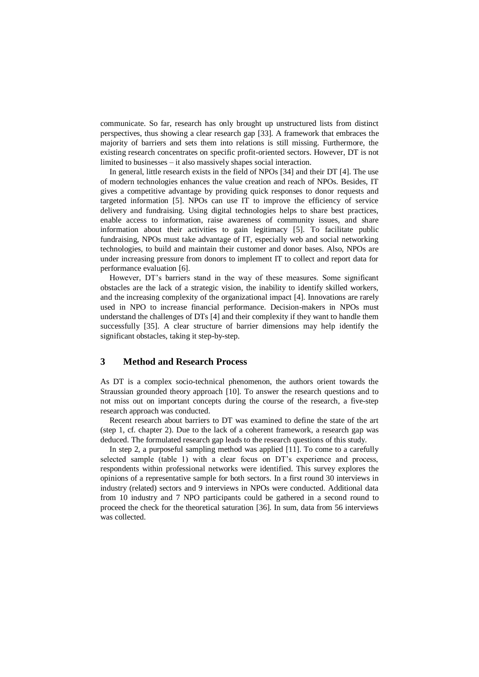communicate. So far, research has only brought up unstructured lists from distinct perspectives, thus showing a clear research gap [33]. A framework that embraces the majority of barriers and sets them into relations is still missing. Furthermore, the existing research concentrates on specific profit-oriented sectors. However, DT is not limited to businesses – it also massively shapes social interaction.

In general, little research exists in the field of NPOs [34] and their DT [4]. The use of modern technologies enhances the value creation and reach of NPOs. Besides, IT gives a competitive advantage by providing quick responses to donor requests and targeted information [5]. NPOs can use IT to improve the efficiency of service delivery and fundraising. Using digital technologies helps to share best practices, enable access to information, raise awareness of community issues, and share information about their activities to gain legitimacy [5]. To facilitate public fundraising, NPOs must take advantage of IT, especially web and social networking technologies, to build and maintain their customer and donor bases. Also, NPOs are under increasing pressure from donors to implement IT to collect and report data for performance evaluation [6].

However, DT's barriers stand in the way of these measures. Some significant obstacles are the lack of a strategic vision, the inability to identify skilled workers, and the increasing complexity of the organizational impact [4]. Innovations are rarely used in NPO to increase financial performance. Decision-makers in NPOs must understand the challenges of DTs [4] and their complexity if they want to handle them successfully [35]. A clear structure of barrier dimensions may help identify the significant obstacles, taking it step-by-step.

## **3 Method and Research Process**

As DT is a complex socio-technical phenomenon, the authors orient towards the Straussian grounded theory approach [10]. To answer the research questions and to not miss out on important concepts during the course of the research, a five-step research approach was conducted.

Recent research about barriers to DT was examined to define the state of the art (step 1, cf. chapter 2). Due to the lack of a coherent framework, a research gap was deduced. The formulated research gap leads to the research questions of this study.

In step 2, a purposeful sampling method was applied [11]. To come to a carefully selected sample (table 1) with a clear focus on DT's experience and process, respondents within professional networks were identified. This survey explores the opinions of a representative sample for both sectors. In a first round 30 interviews in industry (related) sectors and 9 interviews in NPOs were conducted. Additional data from 10 industry and 7 NPO participants could be gathered in a second round to proceed the check for the theoretical saturation [36]. In sum, data from 56 interviews was collected.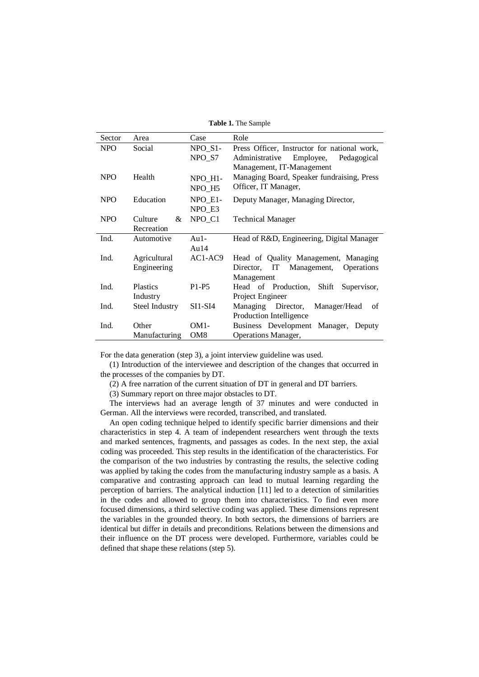**Table 1.** The Sample

| Sector                  | Area                      | Case                      | Role                                          |  |  |
|-------------------------|---------------------------|---------------------------|-----------------------------------------------|--|--|
| <b>NPO</b>              | Social                    | $NPO_$ [S1-               | Press Officer, Instructor for national work,  |  |  |
|                         |                           |                           | Administrative<br>Employee,<br>Pedagogical    |  |  |
|                         |                           | Management, IT-Management |                                               |  |  |
| <b>NPO</b><br>Health    |                           | NPO H1-                   | Managing Board, Speaker fundraising, Press    |  |  |
|                         |                           | NPO H5                    | Officer, IT Manager,                          |  |  |
| <b>NPO</b>              | Education                 | NPO_E1-                   | Deputy Manager, Managing Director,            |  |  |
|                         |                           | NPO E3                    |                                               |  |  |
| <b>NPO</b>              | $\&$<br>Culture           | NPO_C1                    | <b>Technical Manager</b>                      |  |  |
|                         | Recreation                |                           |                                               |  |  |
| Ind.                    | Automotive<br>$Au1-$      |                           | Head of R&D, Engineering, Digital Manager     |  |  |
|                         |                           | Au $14$                   |                                               |  |  |
| Ind.                    | Agricultural              | AC1-AC9                   | Head of Quality Management, Managing          |  |  |
|                         | Engineering               |                           | Director, IT Management,<br><b>Operations</b> |  |  |
|                         |                           |                           | Management                                    |  |  |
| Ind.<br><b>Plastics</b> |                           | $P1-P5$                   | Head of Production, Shift Supervisor,         |  |  |
|                         | Industry                  |                           | Project Engineer                              |  |  |
| Ind.                    | SI1-SI4<br>Steel Industry |                           | Managing Director,<br>Manager/Head<br>of      |  |  |
|                         |                           |                           | Production Intelligence                       |  |  |
| Ind.                    | Other                     | $OM1-$                    | Business Development Manager, Deputy          |  |  |
|                         | Manufacturing             | OM <sub>8</sub>           | <b>Operations Manager,</b>                    |  |  |

For the data generation (step 3), a joint interview guideline was used.

(1) Introduction of the interviewee and description of the changes that occurred in the processes of the companies by DT.

(2) A free narration of the current situation of DT in general and DT barriers.

(3) Summary report on three major obstacles to DT.

The interviews had an average length of 37 minutes and were conducted in German. All the interviews were recorded, transcribed, and translated.

An open coding technique helped to identify specific barrier dimensions and their characteristics in step 4. A team of independent researchers went through the texts and marked sentences, fragments, and passages as codes. In the next step, the axial coding was proceeded. This step results in the identification of the characteristics. For the comparison of the two industries by contrasting the results, the selective coding was applied by taking the codes from the manufacturing industry sample as a basis. A comparative and contrasting approach can lead to mutual learning regarding the perception of barriers. The analytical induction [11] led to a detection of similarities in the codes and allowed to group them into characteristics. To find even more focused dimensions, a third selective coding was applied. These dimensions represent the variables in the grounded theory. In both sectors, the dimensions of barriers are identical but differ in details and preconditions. Relations between the dimensions and their influence on the DT process were developed. Furthermore, variables could be defined that shape these relations (step 5).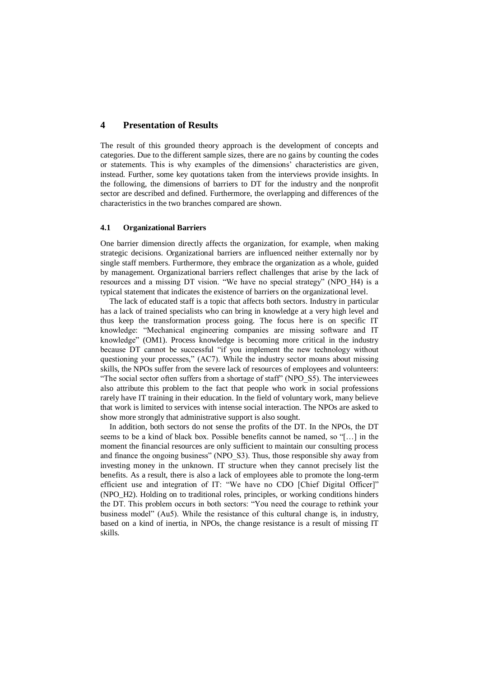## **4 Presentation of Results**

The result of this grounded theory approach is the development of concepts and categories. Due to the different sample sizes, there are no gains by counting the codes or statements. This is why examples of the dimensions' characteristics are given, instead. Further, some key quotations taken from the interviews provide insights. In the following, the dimensions of barriers to DT for the industry and the nonprofit sector are described and defined. Furthermore, the overlapping and differences of the characteristics in the two branches compared are shown.

#### **4.1 Organizational Barriers**

One barrier dimension directly affects the organization, for example, when making strategic decisions. Organizational barriers are influenced neither externally nor by single staff members. Furthermore, they embrace the organization as a whole, guided by management. Organizational barriers reflect challenges that arise by the lack of resources and a missing DT vision. "We have no special strategy" (NPO\_H4) is a typical statement that indicates the existence of barriers on the organizational level.

The lack of educated staff is a topic that affects both sectors. Industry in particular has a lack of trained specialists who can bring in knowledge at a very high level and thus keep the transformation process going. The focus here is on specific IT knowledge: "Mechanical engineering companies are missing software and IT knowledge" (OM1). Process knowledge is becoming more critical in the industry because DT cannot be successful "if you implement the new technology without questioning your processes," (AC7). While the industry sector moans about missing skills, the NPOs suffer from the severe lack of resources of employees and volunteers: "The social sector often suffers from a shortage of staff" (NPO\_S5). The interviewees also attribute this problem to the fact that people who work in social professions rarely have IT training in their education. In the field of voluntary work, many believe that work is limited to services with intense social interaction. The NPOs are asked to show more strongly that administrative support is also sought.

In addition, both sectors do not sense the profits of the DT. In the NPOs, the DT seems to be a kind of black box. Possible benefits cannot be named, so "[…] in the moment the financial resources are only sufficient to maintain our consulting process and finance the ongoing business" (NPO\_S3). Thus, those responsible shy away from investing money in the unknown. IT structure when they cannot precisely list the benefits. As a result, there is also a lack of employees able to promote the long-term efficient use and integration of IT: "We have no CDO [Chief Digital Officer]" (NPO\_H2). Holding on to traditional roles, principles, or working conditions hinders the DT. This problem occurs in both sectors: "You need the courage to rethink your business model" (Au5). While the resistance of this cultural change is, in industry, based on a kind of inertia, in NPOs, the change resistance is a result of missing IT skills.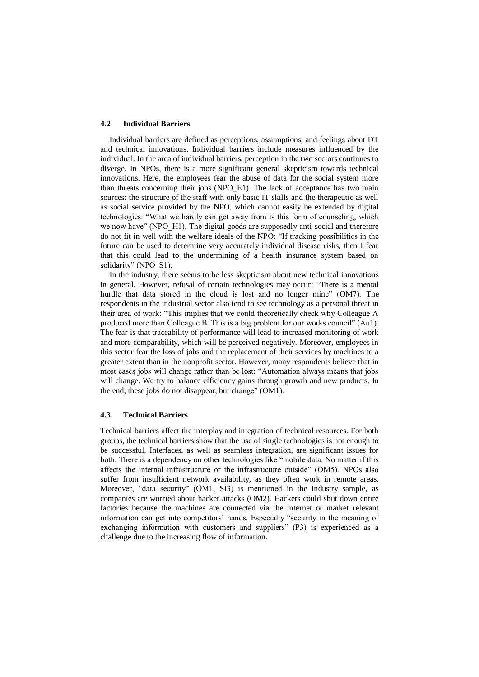#### **4.2 Individual Barriers**

Individual barriers are defined as perceptions, assumptions, and feelings about DT and technical innovations. Individual barriers include measures influenced by the individual. In the area of individual barriers, perception in the two sectors continues to diverge. In NPOs, there is a more significant general skepticism towards technical innovations. Here, the employees fear the abuse of data for the social system more than threats concerning their jobs (NPO\_E1). The lack of acceptance has two main sources: the structure of the staff with only basic IT skills and the therapeutic as well as social service provided by the NPO, which cannot easily be extended by digital technologies: "What we hardly can get away from is this form of counseling, which we now have" (NPO H1). The digital goods are supposedly anti-social and therefore do not fit in well with the welfare ideals of the NPO: "If tracking possibilities in the future can be used to determine very accurately individual disease risks, then I fear that this could lead to the undermining of a health insurance system based on solidarity" (NPO S1).

In the industry, there seems to be less skepticism about new technical innovations in general. However, refusal of certain technologies may occur: "There is a mental hurdle that data stored in the cloud is lost and no longer mine" (OM7). The respondents in the industrial sector also tend to see technology as a personal threat in their area of work: "This implies that we could theoretically check why Colleague A produced more than Colleague B. This is a big problem for our works council" (Au1). The fear is that traceability of performance will lead to increased monitoring of work and more comparability, which will be perceived negatively. Moreover, employees in this sector fear the loss of jobs and the replacement of their services by machines to a greater extent than in the nonprofit sector. However, many respondents believe that in most cases jobs will change rather than be lost: "Automation always means that jobs will change. We try to balance efficiency gains through growth and new products. In the end, these jobs do not disappear, but change" (OM1).

#### **4.3 Technical Barriers**

Technical barriers affect the interplay and integration of technical resources. For both groups, the technical barriers show that the use of single technologies is not enough to be successful. Interfaces, as well as seamless integration, are significant issues for both. There is a dependency on other technologies like "mobile data. No matter if this affects the internal infrastructure or the infrastructure outside" (OM5). NPOs also suffer from insufficient network availability, as they often work in remote areas. Moreover, "data security" (OM1, SI3) is mentioned in the industry sample, as companies are worried about hacker attacks (OM2). Hackers could shut down entire factories because the machines are connected via the internet or market relevant information can get into competitors' hands. Especially "security in the meaning of exchanging information with customers and suppliers" (P3) is experienced as a challenge due to the increasing flow of information.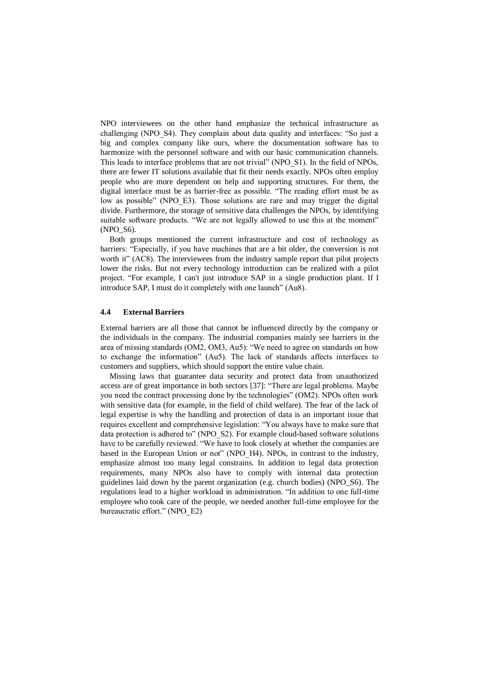NPO interviewees on the other hand emphasize the technical infrastructure as challenging (NPO\_S4). They complain about data quality and interfaces: "So just a big and complex company like ours, where the documentation software has to harmonize with the personnel software and with our basic communication channels. This leads to interface problems that are not trivial" (NPO\_S1). In the field of NPOs, there are fewer IT solutions available that fit their needs exactly. NPOs often employ people who are more dependent on help and supporting structures. For them, the digital interface must be as barrier-free as possible. "The reading effort must be as low as possible" (NPO\_E3). Those solutions are rare and may trigger the digital divide. Furthermore, the storage of sensitive data challenges the NPOs, by identifying suitable software products. "We are not legally allowed to use this at the moment" (NPO\_S6).

Both groups mentioned the current infrastructure and cost of technology as barriers: "Especially, if you have machines that are a bit older, the conversion is not worth it" (AC8). The interviewees from the industry sample report that pilot projects lower the risks. But not every technology introduction can be realized with a pilot project. "For example, I can't just introduce SAP in a single production plant. If I introduce SAP, I must do it completely with one launch" (Au8).

#### **4.4 External Barriers**

External barriers are all those that cannot be influenced directly by the company or the individuals in the company. The industrial companies mainly see barriers in the area of missing standards (OM2, OM3, Au5): "We need to agree on standards on how to exchange the information" (Au5). The lack of standards affects interfaces to customers and suppliers, which should support the entire value chain.

Missing laws that guarantee data security and protect data from unauthorized access are of great importance in both sectors [37]: "There are legal problems. Maybe you need the contract processing done by the technologies" (OM2). NPOs often work with sensitive data (for example, in the field of child welfare). The fear of the lack of legal expertise is why the handling and protection of data is an important issue that requires excellent and comprehensive legislation: "You always have to make sure that data protection is adhered to" (NPO\_S2). For example cloud-based software solutions have to be carefully reviewed. "We have to look closely at whether the companies are based in the European Union or not" (NPO\_H4). NPOs, in contrast to the industry, emphasize almost too many legal constrains. In addition to legal data protection requirements, many NPOs also have to comply with internal data protection guidelines laid down by the parent organization (e.g. church bodies) (NPO\_S6). The regulations lead to a higher workload in administration. "In addition to one full-time employee who took care of the people, we needed another full-time employee for the bureaucratic effort." (NPO\_E2)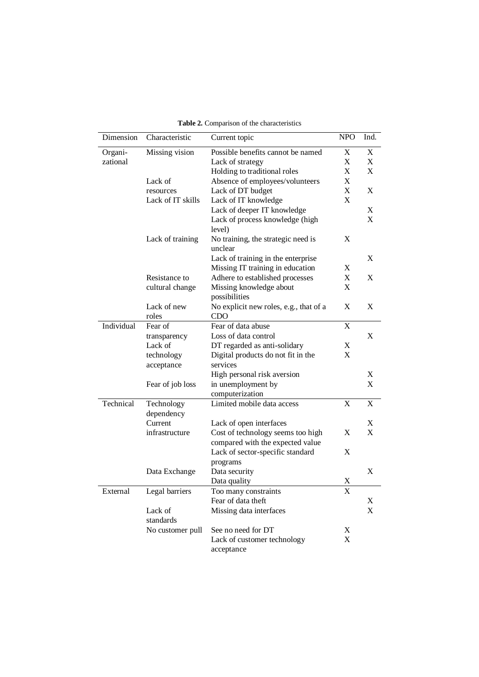| Dimension  | Characteristic       | Current topic                             | <b>NPO</b> | Ind. |
|------------|----------------------|-------------------------------------------|------------|------|
| Organi-    | Missing vision       | Possible benefits cannot be named         | X          | X    |
| zational   |                      | Lack of strategy                          | X          | X    |
|            |                      | Holding to traditional roles              | X          | X    |
|            | Lack of              | Absence of employees/volunteers           | X          |      |
|            | resources            | Lack of DT budget                         | X          | X    |
|            | Lack of IT skills    | Lack of IT knowledge                      | X          |      |
|            |                      | Lack of deeper IT knowledge               |            | X    |
|            |                      | Lack of process knowledge (high<br>level) |            | X    |
|            | Lack of training     | No training, the strategic need is        | X          |      |
|            |                      | unclear                                   |            |      |
|            |                      | Lack of training in the enterprise        |            | X    |
|            |                      | Missing IT training in education          | X          |      |
|            | Resistance to        | Adhere to established processes           | X          | X    |
|            | cultural change      | Missing knowledge about<br>possibilities  | X          |      |
|            | Lack of new          | No explicit new roles, e.g., that of a    | X          | X    |
|            | roles                | CDO                                       |            |      |
| Individual | Fear of              | Fear of data abuse                        | X          |      |
|            | transparency         | Loss of data control                      |            | X    |
|            | Lack of              | DT regarded as anti-solidary              | X          |      |
|            | technology           | Digital products do not fit in the        | X          |      |
|            | acceptance           | services                                  |            |      |
|            |                      | High personal risk aversion               |            | X    |
|            | Fear of job loss     | in unemployment by                        |            | X    |
|            |                      | computerization                           |            |      |
| Technical  | Technology           | Limited mobile data access                | X          | X    |
|            | dependency           |                                           |            |      |
|            | Current              | Lack of open interfaces                   |            | X    |
|            | infrastructure       | Cost of technology seems too high         | X          | X    |
|            |                      | compared with the expected value          |            |      |
|            |                      | Lack of sector-specific standard          | X          |      |
|            |                      | programs                                  |            |      |
|            | Data Exchange        | Data security                             |            | X    |
|            |                      | Data quality                              | X          |      |
| External   | Legal barriers       | Too many constraints                      | X          |      |
|            |                      | Fear of data theft                        |            | X    |
|            | Lack of<br>standards | Missing data interfaces                   |            | X    |
|            | No customer pull     | See no need for DT                        | X          |      |
|            |                      | Lack of customer technology               | X          |      |
|            |                      | acceptance                                |            |      |

**Table 2.** Comparison of the characteristics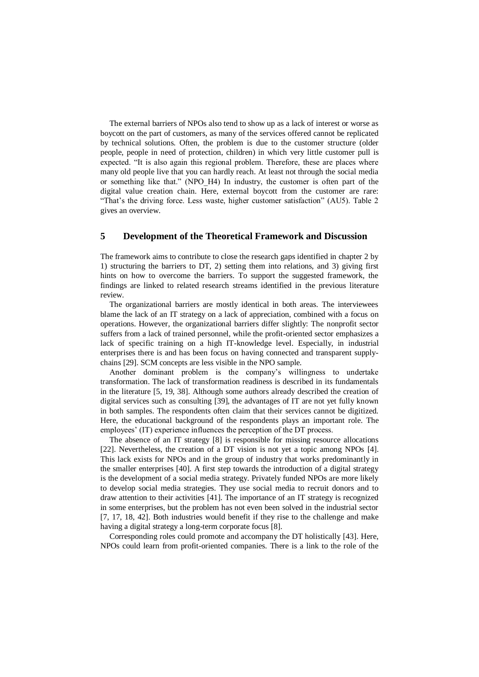The external barriers of NPOs also tend to show up as a lack of interest or worse as boycott on the part of customers, as many of the services offered cannot be replicated by technical solutions. Often, the problem is due to the customer structure (older people, people in need of protection, children) in which very little customer pull is expected. "It is also again this regional problem. Therefore, these are places where many old people live that you can hardly reach. At least not through the social media or something like that." (NPO\_H4) In industry, the customer is often part of the digital value creation chain. Here, external boycott from the customer are rare: "That's the driving force. Less waste, higher customer satisfaction" (AU5). Table 2 gives an overview.

## **5 Development of the Theoretical Framework and Discussion**

The framework aims to contribute to close the research gaps identified in chapter 2 by 1) structuring the barriers to DT, 2) setting them into relations, and 3) giving first hints on how to overcome the barriers. To support the suggested framework, the findings are linked to related research streams identified in the previous literature review.

The organizational barriers are mostly identical in both areas. The interviewees blame the lack of an IT strategy on a lack of appreciation, combined with a focus on operations. However, the organizational barriers differ slightly: The nonprofit sector suffers from a lack of trained personnel, while the profit-oriented sector emphasizes a lack of specific training on a high IT-knowledge level. Especially, in industrial enterprises there is and has been focus on having connected and transparent supplychains [29]. SCM concepts are less visible in the NPO sample.

Another dominant problem is the company's willingness to undertake transformation. The lack of transformation readiness is described in its fundamentals in the literature [5, 19, 38]. Although some authors already described the creation of digital services such as consulting [39], the advantages of IT are not yet fully known in both samples. The respondents often claim that their services cannot be digitized. Here, the educational background of the respondents plays an important role. The employees' (IT) experience influences the perception of the DT process.

The absence of an IT strategy [8] is responsible for missing resource allocations [22]. Nevertheless, the creation of a DT vision is not yet a topic among NPOs [4]. This lack exists for NPOs and in the group of industry that works predominantly in the smaller enterprises [40]. A first step towards the introduction of a digital strategy is the development of a social media strategy. Privately funded NPOs are more likely to develop social media strategies. They use social media to recruit donors and to draw attention to their activities [41]. The importance of an IT strategy is recognized in some enterprises, but the problem has not even been solved in the industrial sector [7, 17, 18, 42]. Both industries would benefit if they rise to the challenge and make having a digital strategy a long-term corporate focus [8].

Corresponding roles could promote and accompany the DT holistically [43]. Here, NPOs could learn from profit-oriented companies. There is a link to the role of the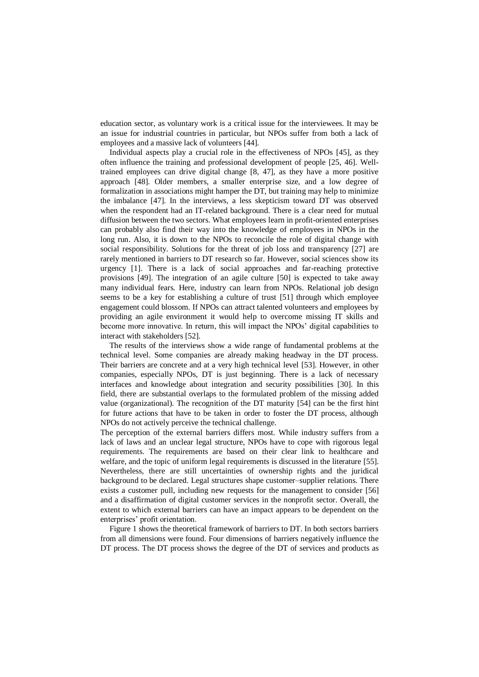education sector, as voluntary work is a critical issue for the interviewees. It may be an issue for industrial countries in particular, but NPOs suffer from both a lack of employees and a massive lack of volunteers [44].

Individual aspects play a crucial role in the effectiveness of NPOs [45], as they often influence the training and professional development of people [25, 46]. Welltrained employees can drive digital change [8, 47], as they have a more positive approach [48]. Older members, a smaller enterprise size, and a low degree of formalization in associations might hamper the DT, but training may help to minimize the imbalance [47]. In the interviews, a less skepticism toward DT was observed when the respondent had an IT-related background. There is a clear need for mutual diffusion between the two sectors. What employees learn in profit-oriented enterprises can probably also find their way into the knowledge of employees in NPOs in the long run. Also, it is down to the NPOs to reconcile the role of digital change with social responsibility. Solutions for the threat of job loss and transparency [27] are rarely mentioned in barriers to DT research so far. However, social sciences show its urgency [1]. There is a lack of social approaches and far-reaching protective provisions [49]. The integration of an agile culture [50] is expected to take away many individual fears. Here, industry can learn from NPOs. Relational job design seems to be a key for establishing a culture of trust [51] through which employee engagement could blossom. If NPOs can attract talented volunteers and employees by providing an agile environment it would help to overcome missing IT skills and become more innovative. In return, this will impact the NPOs' digital capabilities to interact with stakeholders [52].

The results of the interviews show a wide range of fundamental problems at the technical level. Some companies are already making headway in the DT process. Their barriers are concrete and at a very high technical level [53]. However, in other companies, especially NPOs, DT is just beginning. There is a lack of necessary interfaces and knowledge about integration and security possibilities [30]. In this field, there are substantial overlaps to the formulated problem of the missing added value (organizational). The recognition of the DT maturity [54] can be the first hint for future actions that have to be taken in order to foster the DT process, although NPOs do not actively perceive the technical challenge.

The perception of the external barriers differs most. While industry suffers from a lack of laws and an unclear legal structure, NPOs have to cope with rigorous legal requirements. The requirements are based on their clear link to healthcare and welfare, and the topic of uniform legal requirements is discussed in the literature [55]. Nevertheless, there are still uncertainties of ownership rights and the juridical background to be declared. Legal structures shape customer–supplier relations. There exists a customer pull, including new requests for the management to consider [56] and a disaffirmation of digital customer services in the nonprofit sector. Overall, the extent to which external barriers can have an impact appears to be dependent on the enterprises' profit orientation.

Figure 1 shows the theoretical framework of barriers to DT. In both sectors barriers from all dimensions were found. Four dimensions of barriers negatively influence the DT process. The DT process shows the degree of the DT of services and products as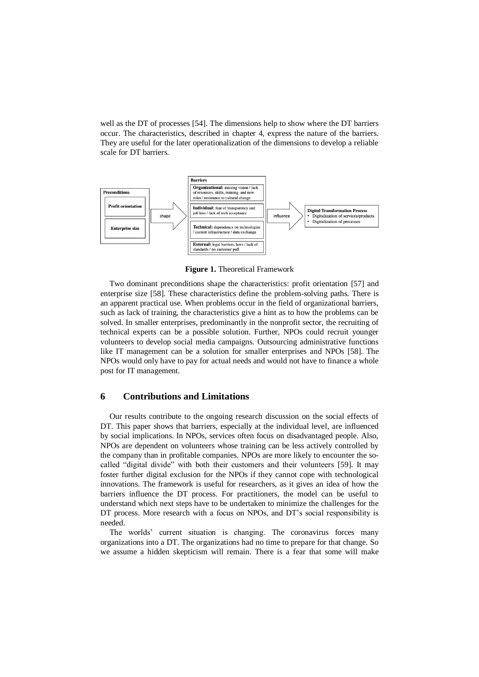well as the DT of processes [54]. The dimensions help to show where the DT barriers occur. The characteristics, described in chapter 4, express the nature of the barriers. They are useful for the later operationalization of the dimensions to develop a reliable scale for DT barriers.



**Figure 1.** Theoretical Framework

Two dominant preconditions shape the characteristics: profit orientation [57] and enterprise size [58]. These characteristics define the problem-solving paths. There is an apparent practical use. When problems occur in the field of organizational barriers, such as lack of training, the characteristics give a hint as to how the problems can be solved. In smaller enterprises, predominantly in the nonprofit sector, the recruiting of technical experts can be a possible solution. Further, NPOs could recruit younger volunteers to develop social media campaigns. Outsourcing administrative functions like IT management can be a solution for smaller enterprises and NPOs [58]. The NPOs would only have to pay for actual needs and would not have to finance a whole post for IT management.

#### **6 Contributions and Limitations**

Our results contribute to the ongoing research discussion on the social effects of DT. This paper shows that barriers, especially at the individual level, are influenced by social implications. In NPOs, services often focus on disadvantaged people. Also, NPOs are dependent on volunteers whose training can be less actively controlled by the company than in profitable companies. NPOs are more likely to encounter the socalled "digital divide" with both their customers and their volunteers [59]. It may foster further digital exclusion for the NPOs if they cannot cope with technological innovations. The framework is useful for researchers, as it gives an idea of how the barriers influence the DT process. For practitioners, the model can be useful to understand which next steps have to be undertaken to minimize the challenges for the DT process. More research with a focus on NPOs, and DT's social responsibility is needed.

The worlds' current situation is changing. The coronavirus forces many organizations into a DT. The organizations had no time to prepare for that change. So we assume a hidden skepticism will remain. There is a fear that some will make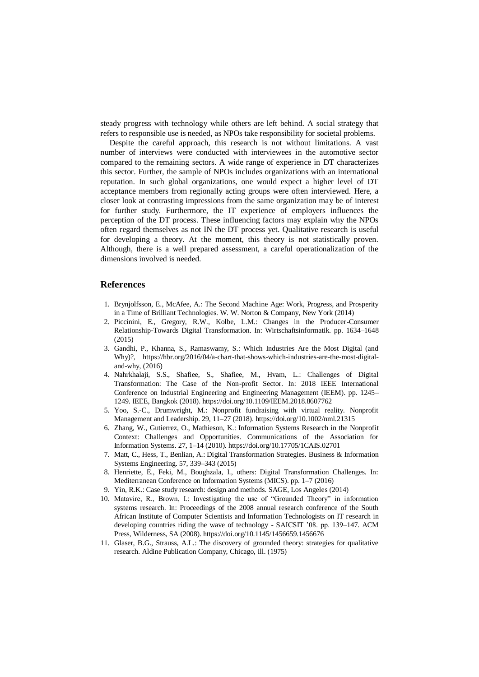steady progress with technology while others are left behind. A social strategy that refers to responsible use is needed, as NPOs take responsibility for societal problems.

Despite the careful approach, this research is not without limitations. A vast number of interviews were conducted with interviewees in the automotive sector compared to the remaining sectors. A wide range of experience in DT characterizes this sector. Further, the sample of NPOs includes organizations with an international reputation. In such global organizations, one would expect a higher level of DT acceptance members from regionally acting groups were often interviewed. Here, a closer look at contrasting impressions from the same organization may be of interest for further study. Furthermore, the IT experience of employers influences the perception of the DT process. These influencing factors may explain why the NPOs often regard themselves as not IN the DT process yet. Qualitative research is useful for developing a theory. At the moment, this theory is not statistically proven. Although, there is a well prepared assessment, a careful operationalization of the dimensions involved is needed.

#### **References**

- 1. Brynjolfsson, E., McAfee, A.: The Second Machine Age: Work, Progress, and Prosperity in a Time of Brilliant Technologies. W. W. Norton & Company, New York (2014)
- 2. Piccinini, E., Gregory, R.W., Kolbe, L.M.: Changes in the Producer-Consumer Relationship-Towards Digital Transformation. In: Wirtschaftsinformatik. pp. 1634–1648 (2015)
- 3. Gandhi, P., Khanna, S., Ramaswamy, S.: Which Industries Are the Most Digital (and Why)?, https://hbr.org/2016/04/a-chart-that-shows-which-industries-are-the-most-digitaland-why, (2016)
- 4. Nahrkhalaji, S.S., Shafiee, S., Shafiee, M., Hvam, L.: Challenges of Digital Transformation: The Case of the Non-profit Sector. In: 2018 IEEE International Conference on Industrial Engineering and Engineering Management (IEEM). pp. 1245– 1249. IEEE, Bangkok (2018). https://doi.org/10.1109/IEEM.2018.8607762
- 5. Yoo, S.-C., Drumwright, M.: Nonprofit fundraising with virtual reality. Nonprofit Management and Leadership. 29, 11–27 (2018). https://doi.org/10.1002/nml.21315
- 6. Zhang, W., Gutierrez, O., Mathieson, K.: Information Systems Research in the Nonprofit Context: Challenges and Opportunities. Communications of the Association for Information Systems. 27, 1–14 (2010). https://doi.org/10.17705/1CAIS.02701
- 7. Matt, C., Hess, T., Benlian, A.: Digital Transformation Strategies. Business & Information Systems Engineering. 57, 339–343 (2015)
- 8. Henriette, E., Feki, M., Boughzala, I., others: Digital Transformation Challenges. In: Mediterranean Conference on Information Systems (MICS). pp. 1–7 (2016)
- 9. Yin, R.K.: Case study research: design and methods. SAGE, Los Angeles (2014)
- 10. Matavire, R., Brown, I.: Investigating the use of "Grounded Theory" in information systems research. In: Proceedings of the 2008 annual research conference of the South African Institute of Computer Scientists and Information Technologists on IT research in developing countries riding the wave of technology - SAICSIT '08. pp. 139–147. ACM Press, Wilderness, SA (2008). https://doi.org/10.1145/1456659.1456676
- 11. Glaser, B.G., Strauss, A.L.: The discovery of grounded theory: strategies for qualitative research. Aldine Publication Company, Chicago, Ill. (1975)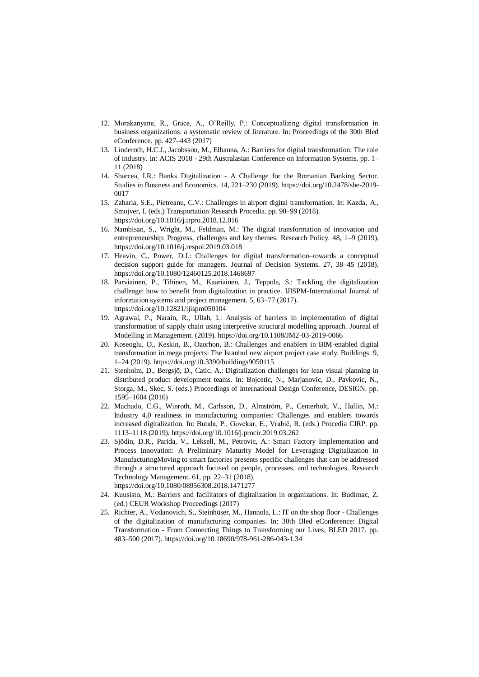- 12. Morakanyane, R., Grace, A., O'Reilly, P.: Conceptualizing digital transformation in business organizations: a systematic review of literature. In: Proceedings of the 30th Bled eConference. pp. 427–443 (2017)
- 13. Linderoth, H.C.J., Jacobsson, M., Elbanna, A.: Barriers for digital transformation: The role of industry. In: ACIS 2018 - 29th Australasian Conference on Information Systems. pp. 1– 11 (2018)
- 14. Sbarcea, I.R.: Banks Digitalization A Challenge for the Romanian Banking Sector. Studies in Business and Economics. 14, 221–230 (2019). https://doi.org/10.2478/sbe-2019- 0017
- 15. Zaharia, S.E., Pietreanu, C.V.: Challenges in airport digital transformation. In: Kazda, A., Smojver, I. (eds.) Transportation Research Procedia. pp. 90–99 (2018). https://doi.org/10.1016/j.trpro.2018.12.016
- 16. Nambisan, S., Wright, M., Feldman, M.: The digital transformation of innovation and entrepreneurship: Progress, challenges and key themes. Research Policy. 48, 1–9 (2019). https://doi.org/10.1016/j.respol.2019.03.018
- 17. Heavin, C., Power, D.J.: Challenges for digital transformation–towards a conceptual decision support guide for managers. Journal of Decision Systems. 27, 38–45 (2018). https://doi.org/10.1080/12460125.2018.1468697
- 18. Parviainen, P., Tihinen, M., Kaariainen, J., Teppola, S.: Tackling the digitalization challenge: how to benefit from digitalization in practice. IJISPM-International Journal of information systems and project management. 5, 63–77 (2017). https://doi.org/10.12821/ijispm050104
- 19. Agrawal, P., Narain, R., Ullah, I.: Analysis of barriers in implementation of digital transformation of supply chain using interpretive structural modelling approach. Journal of Modelling in Management. (2019). https://doi.org/10.1108/JM2-03-2019-0066
- 20. Koseoglu, O., Keskin, B., Ozorhon, B.: Challenges and enablers in BIM-enabled digital transformation in mega projects: The Istanbul new airport project case study. Buildings. 9, 1–24 (2019). https://doi.org/10.3390/buildings9050115
- 21. Stenholm, D., Bergsjö, D., Catic, A.: Digitalization challenges for lean visual planning in distributed product development teams. In: Bojcetic, N., Marjanovic, D., Pavkovic, N., Storga, M., Skec, S. (eds.) Proceedings of International Design Conference, DESIGN. pp. 1595–1604 (2016)
- 22. Machado, C.G., Winroth, M., Carlsson, D., Almström, P., Centerholt, V., Hallin, M.: Industry 4.0 readiness in manufacturing companies: Challenges and enablers towards increased digitalization. In: Butala, P., Govekar, E., Vrabič, R. (eds.) Procedia CIRP. pp. 1113–1118 (2019). https://doi.org/10.1016/j.procir.2019.03.262
- 23. Sjödin, D.R., Parida, V., Leksell, M., Petrovic, A.: Smart Factory Implementation and Process Innovation: A Preliminary Maturity Model for Leveraging Digitalization in ManufacturingMoving to smart factories presents specific challenges that can be addressed through a structured approach focused on people, processes, and technologies. Research Technology Management. 61, pp. 22–31 (2018). https://doi.org/10.1080/08956308.2018.1471277
- 24. Kuusisto, M.: Barriers and facilitators of digitalization in organizations. In: Budimac, Z. (ed.) CEUR Workshop Proceedings (2017)
- 25. Richter, A., Vodanovich, S., Steinhüser, M., Hannola, L.: IT on the shop floor Challenges of the digitalization of manufacturing companies. In: 30th Bled eConference: Digital Transformation - From Connecting Things to Transforming our Lives, BLED 2017. pp. 483–500 (2017). https://doi.org/10.18690/978-961-286-043-1.34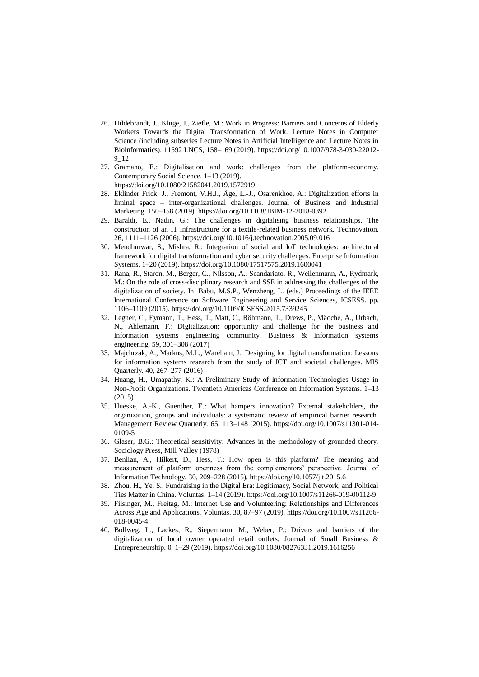- 26. Hildebrandt, J., Kluge, J., Ziefle, M.: Work in Progress: Barriers and Concerns of Elderly Workers Towards the Digital Transformation of Work. Lecture Notes in Computer Science (including subseries Lecture Notes in Artificial Intelligence and Lecture Notes in Bioinformatics). 11592 LNCS, 158–169 (2019). https://doi.org/10.1007/978-3-030-22012- 9\_12
- 27. Gramano, E.: Digitalisation and work: challenges from the platform-economy. Contemporary Social Science. 1–13 (2019). https://doi.org/10.1080/21582041.2019.1572919
- 28. Eklinder Frick, J., Fremont, V.H.J., Åge, L.-J., Osarenkhoe, A.: Digitalization efforts in liminal space – inter-organizational challenges. Journal of Business and Industrial Marketing. 150–158 (2019). https://doi.org/10.1108/JBIM-12-2018-0392
- 29. Baraldi, E., Nadin, G.: The challenges in digitalising business relationships. The construction of an IT infrastructure for a textile-related business network. Technovation. 26, 1111–1126 (2006). https://doi.org/10.1016/j.technovation.2005.09.016
- 30. Mendhurwar, S., Mishra, R.: Integration of social and IoT technologies: architectural framework for digital transformation and cyber security challenges. Enterprise Information Systems. 1–20 (2019). https://doi.org/10.1080/17517575.2019.1600041
- 31. Rana, R., Staron, M., Berger, C., Nilsson, A., Scandariato, R., Weilenmann, A., Rydmark, M.: On the role of cross-disciplinary research and SSE in addressing the challenges of the digitalization of society. In: Babu, M.S.P., Wenzheng, L. (eds.) Proceedings of the IEEE International Conference on Software Engineering and Service Sciences, ICSESS. pp. 1106–1109 (2015). https://doi.org/10.1109/ICSESS.2015.7339245
- 32. Legner, C., Eymann, T., Hess, T., Matt, C., Böhmann, T., Drews, P., Mädche, A., Urbach, N., Ahlemann, F.: Digitalization: opportunity and challenge for the business and information systems engineering community. Business & information systems engineering. 59, 301–308 (2017)
- 33. Majchrzak, A., Markus, M.L., Wareham, J.: Designing for digital transformation: Lessons for information systems research from the study of ICT and societal challenges. MIS Quarterly. 40, 267–277 (2016)
- 34. Huang, H., Umapathy, K.: A Preliminary Study of Information Technologies Usage in Non-Profit Organizations. Twentieth Americas Conference on Information Systems. 1–13 (2015)
- 35. Hueske, A.-K., Guenther, E.: What hampers innovation? External stakeholders, the organization, groups and individuals: a systematic review of empirical barrier research. Management Review Quarterly. 65, 113–148 (2015). https://doi.org/10.1007/s11301-014- 0109-5
- 36. Glaser, B.G.: Theoretical sensitivity: Advances in the methodology of grounded theory. Sociology Press, Mill Valley (1978)
- 37. Benlian, A., Hilkert, D., Hess, T.: How open is this platform? The meaning and measurement of platform openness from the complementors' perspective. Journal of Information Technology. 30, 209–228 (2015). https://doi.org/10.1057/jit.2015.6
- 38. Zhou, H., Ye, S.: Fundraising in the Digital Era: Legitimacy, Social Network, and Political Ties Matter in China. Voluntas. 1–14 (2019). https://doi.org/10.1007/s11266-019-00112-9
- 39. Filsinger, M., Freitag, M.: Internet Use and Volunteering: Relationships and Differences Across Age and Applications. Voluntas. 30, 87–97 (2019). https://doi.org/10.1007/s11266- 018-0045-4
- 40. Bollweg, L., Lackes, R., Siepermann, M., Weber, P.: Drivers and barriers of the digitalization of local owner operated retail outlets. Journal of Small Business & Entrepreneurship. 0, 1–29 (2019). https://doi.org/10.1080/08276331.2019.1616256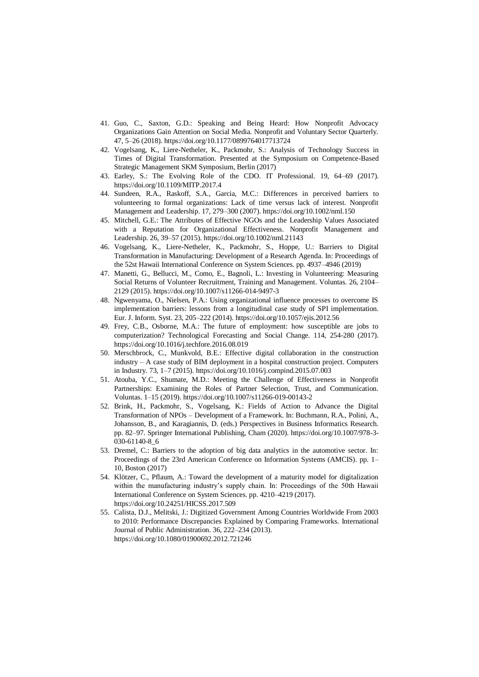- 41. Guo, C., Saxton, G.D.: Speaking and Being Heard: How Nonprofit Advocacy Organizations Gain Attention on Social Media. Nonprofit and Voluntary Sector Quarterly. 47, 5–26 (2018). https://doi.org/10.1177/0899764017713724
- 42. Vogelsang, K., Liere-Netheler, K., Packmohr, S.: Analysis of Technology Success in Times of Digital Transformation. Presented at the Symposium on Competence-Based Strategic Management SKM Symposium, Berlin (2017)
- 43. Earley, S.: The Evolving Role of the CDO. IT Professional. 19, 64–69 (2017). https://doi.org/10.1109/MITP.2017.4
- 44. Sundeen, R.A., Raskoff, S.A., Garcia, M.C.: Differences in perceived barriers to volunteering to formal organizations: Lack of time versus lack of interest. Nonprofit Management and Leadership. 17, 279–300 (2007). https://doi.org/10.1002/nml.150
- 45. Mitchell, G.E.: The Attributes of Effective NGOs and the Leadership Values Associated with a Reputation for Organizational Effectiveness. Nonprofit Management and Leadership. 26, 39–57 (2015). https://doi.org/10.1002/nml.21143
- 46. Vogelsang, K., Liere-Netheler, K., Packmohr, S., Hoppe, U.: Barriers to Digital Transformation in Manufacturing: Development of a Research Agenda. In: Proceedings of the 52st Hawaii International Conference on System Sciences. pp. 4937–4946 (2019)
- 47. Manetti, G., Bellucci, M., Como, E., Bagnoli, L.: Investing in Volunteering: Measuring Social Returns of Volunteer Recruitment, Training and Management. Voluntas. 26, 2104– 2129 (2015). https://doi.org/10.1007/s11266-014-9497-3
- 48. Ngwenyama, O., Nielsen, P.A.: Using organizational influence processes to overcome IS implementation barriers: lessons from a longitudinal case study of SPI implementation. Eur. J. Inform. Syst. 23, 205–222 (2014). https://doi.org/10.1057/ejis.2012.56
- 49. Frey, C.B., Osborne, M.A.: The future of employment: how susceptible are jobs to computerization? Technological Forecasting and Social Change. 114, 254-280 (2017). https://doi.org/10.1016/j.techfore.2016.08.019
- 50. Merschbrock, C., Munkvold, B.E.: Effective digital collaboration in the construction industry – A case study of BIM deployment in a hospital construction project. Computers in Industry. 73, 1–7 (2015). https://doi.org/10.1016/j.compind.2015.07.003
- 51. Atouba, Y.C., Shumate, M.D.: Meeting the Challenge of Effectiveness in Nonprofit Partnerships: Examining the Roles of Partner Selection, Trust, and Communication. Voluntas. 1–15 (2019). https://doi.org/10.1007/s11266-019-00143-2
- 52. Brink, H., Packmohr, S., Vogelsang, K.: Fields of Action to Advance the Digital Transformation of NPOs – Development of a Framework. In: Buchmann, R.A., Polini, A., Johansson, B., and Karagiannis, D. (eds.) Perspectives in Business Informatics Research. pp. 82–97. Springer International Publishing, Cham (2020). https://doi.org/10.1007/978-3- 030-61140-8\_6
- 53. Dremel, C.: Barriers to the adoption of big data analytics in the automotive sector. In: Proceedings of the 23rd American Conference on Information Systems (AMCIS). pp. 1– 10, Boston (2017)
- 54. Klötzer, C., Pflaum, A.: Toward the development of a maturity model for digitalization within the manufacturing industry's supply chain. In: Proceedings of the 50th Hawaii International Conference on System Sciences. pp. 4210–4219 (2017). https://doi.org/10.24251/HICSS.2017.509
- 55. Calista, D.J., Melitski, J.: Digitized Government Among Countries Worldwide From 2003 to 2010: Performance Discrepancies Explained by Comparing Frameworks. International Journal of Public Administration. 36, 222–234 (2013). https://doi.org/10.1080/01900692.2012.721246